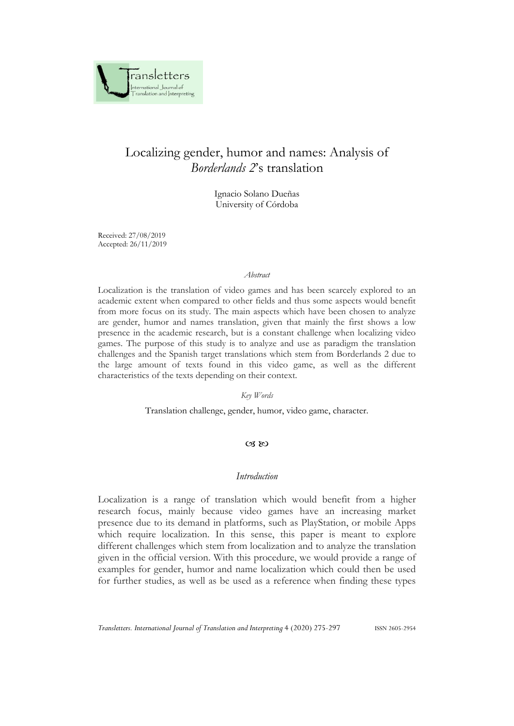

# Localizing gender, humor and names: Analysis of *Borderlands 2*'s translation

Ignacio Solano Dueñas University of Córdoba

Received: 27/08/2019 Accepted: 26/11/2019

#### *Abstract*

Localization is the translation of video games and has been scarcely explored to an academic extent when compared to other fields and thus some aspects would benefit from more focus on its study. The main aspects which have been chosen to analyze are gender, humor and names translation, given that mainly the first shows a low presence in the academic research, but is a constant challenge when localizing video games. The purpose of this study is to analyze and use as paradigm the translation challenges and the Spanish target translations which stem from Borderlands 2 due to the large amount of texts found in this video game, as well as the different characteristics of the texts depending on their context.

#### *Key Words*

Translation challenge, gender, humor, video game, character.

#### $(X, \aleph)$

#### *Introduction*

Localization is a range of translation which would benefit from a higher research focus, mainly because video games have an increasing market presence due to its demand in platforms, such as PlayStation, or mobile Apps which require localization. In this sense, this paper is meant to explore different challenges which stem from localization and to analyze the translation given in the official version. With this procedure, we would provide a range of examples for gender, humor and name localization which could then be used for further studies, as well as be used as a reference when finding these types

*Transletters. International Journal of Translation and Interpreting* 4 (2020) 275-297 ISSN 2605-2954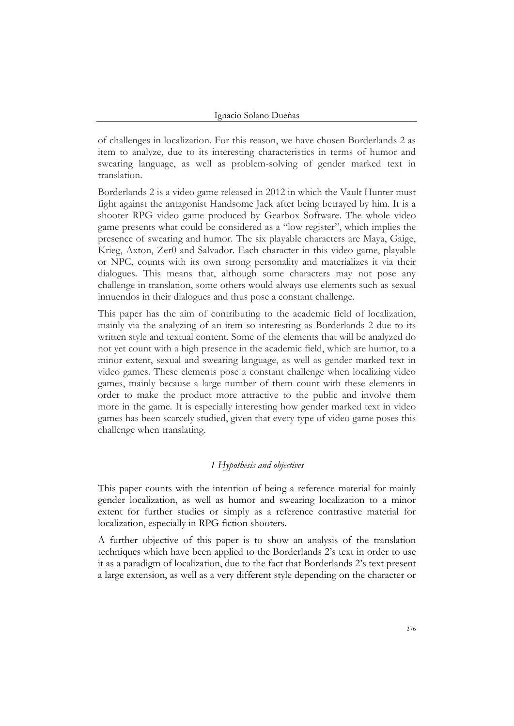of challenges in localization. For this reason, we have chosen Borderlands 2 as item to analyze, due to its interesting characteristics in terms of humor and swearing language, as well as problem-solving of gender marked text in translation.

Borderlands 2 is a video game released in 2012 in which the Vault Hunter must fight against the antagonist Handsome Jack after being betrayed by him. It is a shooter RPG video game produced by Gearbox Software. The whole video game presents what could be considered as a "low register", which implies the presence of swearing and humor. The six playable characters are Maya, Gaige, Krieg, Axton, Zer0 and Salvador. Each character in this video game, playable or NPC, counts with its own strong personality and materializes it via their dialogues. This means that, although some characters may not pose any challenge in translation, some others would always use elements such as sexual innuendos in their dialogues and thus pose a constant challenge.

This paper has the aim of contributing to the academic field of localization, mainly via the analyzing of an item so interesting as Borderlands 2 due to its written style and textual content. Some of the elements that will be analyzed do not yet count with a high presence in the academic field, which are humor, to a minor extent, sexual and swearing language, as well as gender marked text in video games. These elements pose a constant challenge when localizing video games, mainly because a large number of them count with these elements in order to make the product more attractive to the public and involve them more in the game. It is especially interesting how gender marked text in video games has been scarcely studied, given that every type of video game poses this challenge when translating.

#### *1 Hypothesis and objectives*

This paper counts with the intention of being a reference material for mainly gender localization, as well as humor and swearing localization to a minor extent for further studies or simply as a reference contrastive material for localization, especially in RPG fiction shooters.

A further objective of this paper is to show an analysis of the translation techniques which have been applied to the Borderlands 2's text in order to use it as a paradigm of localization, due to the fact that Borderlands 2's text present a large extension, as well as a very different style depending on the character or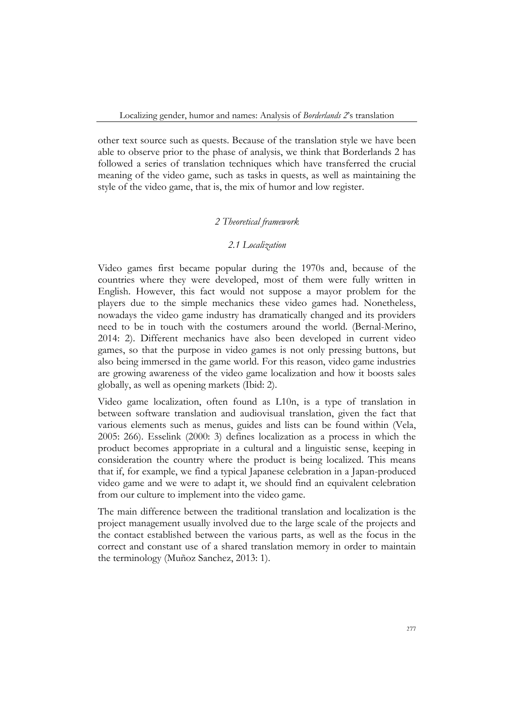other text source such as quests. Because of the translation style we have been able to observe prior to the phase of analysis, we think that Borderlands 2 has followed a series of translation techniques which have transferred the crucial meaning of the video game, such as tasks in quests, as well as maintaining the style of the video game, that is, the mix of humor and low register.

#### *2 Theoretical framework*

## *2.1 Localization*

Video games first became popular during the 1970s and, because of the countries where they were developed, most of them were fully written in English. However, this fact would not suppose a mayor problem for the players due to the simple mechanics these video games had. Nonetheless, nowadays the video game industry has dramatically changed and its providers need to be in touch with the costumers around the world. (Bernal-Merino, 2014: 2). Different mechanics have also been developed in current video games, so that the purpose in video games is not only pressing buttons, but also being immersed in the game world. For this reason, video game industries are growing awareness of the video game localization and how it boosts sales globally, as well as opening markets (Ibid: 2).

Video game localization, often found as L10n, is a type of translation in between software translation and audiovisual translation, given the fact that various elements such as menus, guides and lists can be found within (Vela, 2005: 266). Esselink (2000: 3) defines localization as a process in which the product becomes appropriate in a cultural and a linguistic sense, keeping in consideration the country where the product is being localized. This means that if, for example, we find a typical Japanese celebration in a Japan-produced video game and we were to adapt it, we should find an equivalent celebration from our culture to implement into the video game.

The main difference between the traditional translation and localization is the project management usually involved due to the large scale of the projects and the contact established between the various parts, as well as the focus in the correct and constant use of a shared translation memory in order to maintain the terminology (Muñoz Sanchez, 2013: 1).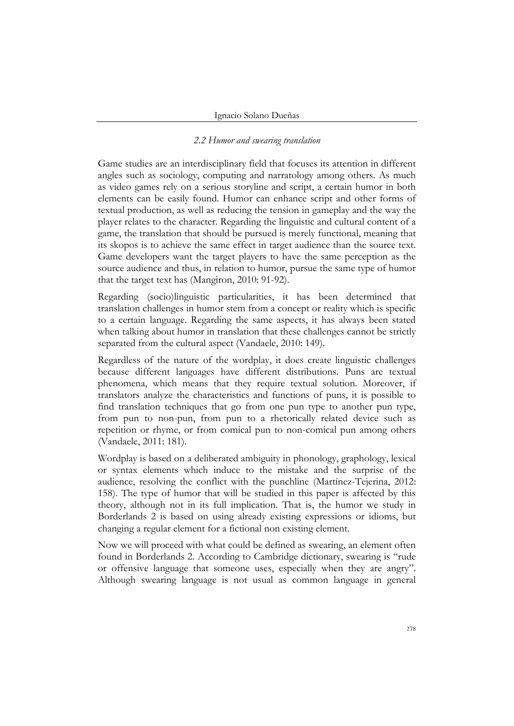#### *2.2 Humor and swearing translation*

Game studies are an interdisciplinary field that focuses its attention in different angles such as sociology, computing and narratology among others. As much as video games rely on a serious storyline and script, a certain humor in both elements can be easily found. Humor can enhance script and other forms of textual production, as well as reducing the tension in gameplay and the way the player relates to the character. Regarding the linguistic and cultural content of a game, the translation that should be pursued is merely functional, meaning that its skopos is to achieve the same effect in target audience than the source text. Game developers want the target players to have the same perception as the source audience and thus, in relation to humor, pursue the same type of humor that the target text has (Mangiron, 2010: 91-92).

Regarding (socio)linguistic particularities, it has been determined that translation challenges in humor stem from a concept or reality which is specific to a certain language. Regarding the same aspects, it has always been stated when talking about humor in translation that these challenges cannot be strictly separated from the cultural aspect (Vandaele, 2010: 149).

Regardless of the nature of the wordplay, it does create linguistic challenges because different languages have different distributions. Puns are textual phenomena, which means that they require textual solution. Moreover, if translators analyze the characteristics and functions of puns, it is possible to find translation techniques that go from one pun type to another pun type, from pun to non-pun, from pun to a rhetorically related device such as repetition or rhyme, or from comical pun to non-comical pun among others (Vandaele, 2011: 181).

Wordplay is based on a deliberated ambiguity in phonology, graphology, lexical or syntax elements which induce to the mistake and the surprise of the audience, resolving the conflict with the punchline (Martínez-Tejerina, 2012: 158). The type of humor that will be studied in this paper is affected by this theory, although not in its full implication. That is, the humor we study in Borderlands 2 is based on using already existing expressions or idioms, but changing a regular element for a fictional non existing element.

Now we will proceed with what could be defined as swearing, an element often found in Borderlands 2. According to Cambridge dictionary, swearing is "rude or offensive language that someone uses, especially when they are angry". Although swearing language is not usual as common language in general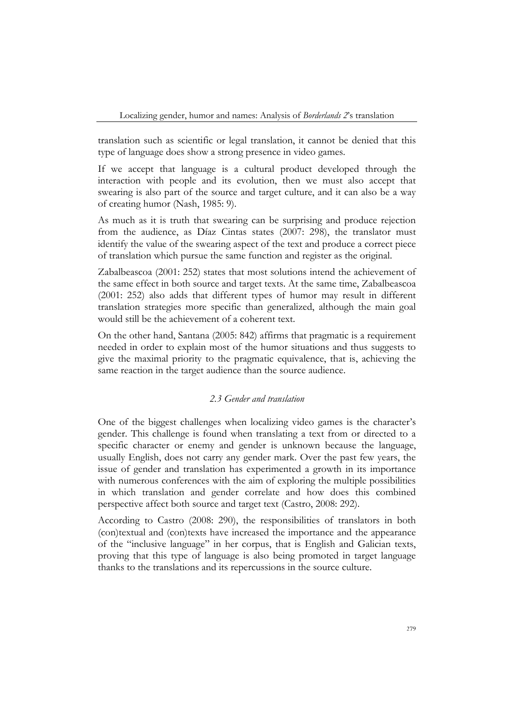translation such as scientific or legal translation, it cannot be denied that this type of language does show a strong presence in video games.

If we accept that language is a cultural product developed through the interaction with people and its evolution, then we must also accept that swearing is also part of the source and target culture, and it can also be a way of creating humor (Nash, 1985: 9).

As much as it is truth that swearing can be surprising and produce rejection from the audience, as Díaz Cintas states (2007: 298), the translator must identify the value of the swearing aspect of the text and produce a correct piece of translation which pursue the same function and register as the original.

Zabalbeascoa (2001: 252) states that most solutions intend the achievement of the same effect in both source and target texts. At the same time, Zabalbeascoa (2001: 252) also adds that different types of humor may result in different translation strategies more specific than generalized, although the main goal would still be the achievement of a coherent text.

On the other hand, Santana (2005: 842) affirms that pragmatic is a requirement needed in order to explain most of the humor situations and thus suggests to give the maximal priority to the pragmatic equivalence, that is, achieving the same reaction in the target audience than the source audience.

#### *2.3 Gender and translation*

One of the biggest challenges when localizing video games is the character's gender. This challenge is found when translating a text from or directed to a specific character or enemy and gender is unknown because the language, usually English, does not carry any gender mark. Over the past few years, the issue of gender and translation has experimented a growth in its importance with numerous conferences with the aim of exploring the multiple possibilities in which translation and gender correlate and how does this combined perspective affect both source and target text (Castro, 2008: 292).

According to Castro (2008: 290), the responsibilities of translators in both (con)textual and (con)texts have increased the importance and the appearance of the "inclusive language" in her corpus, that is English and Galician texts, proving that this type of language is also being promoted in target language thanks to the translations and its repercussions in the source culture.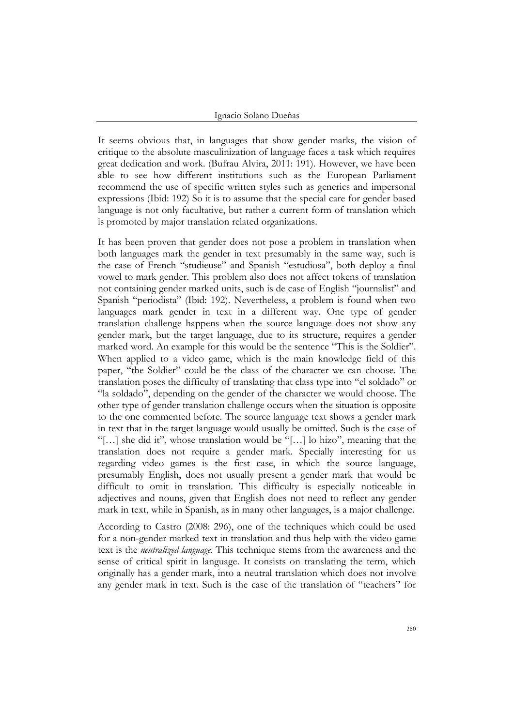#### Ignacio Solano Dueñas

It seems obvious that, in languages that show gender marks, the vision of critique to the absolute masculinization of language faces a task which requires great dedication and work. (Bufrau Alvira, 2011: 191). However, we have been able to see how different institutions such as the European Parliament recommend the use of specific written styles such as generics and impersonal expressions (Ibid: 192) So it is to assume that the special care for gender based language is not only facultative, but rather a current form of translation which is promoted by major translation related organizations.

It has been proven that gender does not pose a problem in translation when both languages mark the gender in text presumably in the same way, such is the case of French "studieuse" and Spanish "estudiosa", both deploy a final vowel to mark gender. This problem also does not affect tokens of translation not containing gender marked units, such is de case of English "journalist" and Spanish "periodista" (Ibid: 192). Nevertheless, a problem is found when two languages mark gender in text in a different way. One type of gender translation challenge happens when the source language does not show any gender mark, but the target language, due to its structure, requires a gender marked word. An example for this would be the sentence "This is the Soldier". When applied to a video game, which is the main knowledge field of this paper, "the Soldier" could be the class of the character we can choose. The translation poses the difficulty of translating that class type into "el soldado" or "la soldado", depending on the gender of the character we would choose. The other type of gender translation challenge occurs when the situation is opposite to the one commented before. The source language text shows a gender mark in text that in the target language would usually be omitted. Such is the case of "[…] she did it", whose translation would be "[…] lo hizo", meaning that the translation does not require a gender mark. Specially interesting for us regarding video games is the first case, in which the source language, presumably English, does not usually present a gender mark that would be difficult to omit in translation. This difficulty is especially noticeable in adjectives and nouns, given that English does not need to reflect any gender mark in text, while in Spanish, as in many other languages, is a major challenge.

According to Castro (2008: 296), one of the techniques which could be used for a non-gender marked text in translation and thus help with the video game text is the *neutralized language*. This technique stems from the awareness and the sense of critical spirit in language. It consists on translating the term, which originally has a gender mark, into a neutral translation which does not involve any gender mark in text. Such is the case of the translation of "teachers" for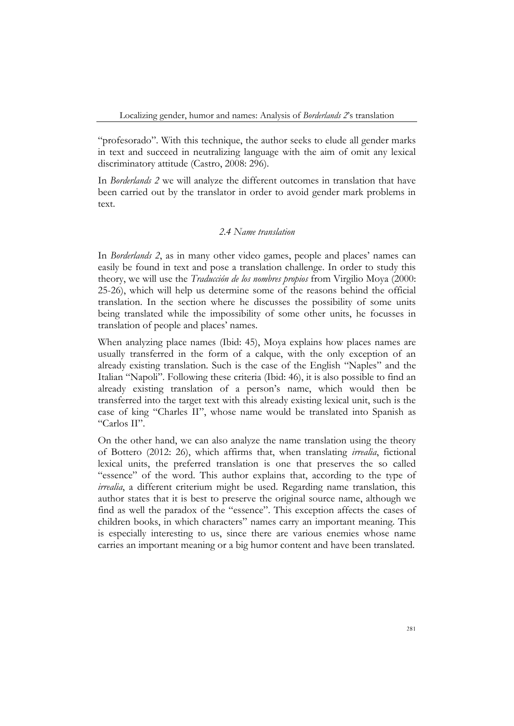"profesorado". With this technique, the author seeks to elude all gender marks in text and succeed in neutralizing language with the aim of omit any lexical discriminatory attitude (Castro, 2008: 296).

In *Borderlands 2* we will analyze the different outcomes in translation that have been carried out by the translator in order to avoid gender mark problems in text.

## *2.4 Name translation*

In *Borderlands 2*, as in many other video games, people and places' names can easily be found in text and pose a translation challenge. In order to study this theory, we will use the *Traducción de los nombres propios* from Virgilio Moya (2000: 25-26), which will help us determine some of the reasons behind the official translation. In the section where he discusses the possibility of some units being translated while the impossibility of some other units, he focusses in translation of people and places' names.

When analyzing place names (Ibid: 45), Moya explains how places names are usually transferred in the form of a calque, with the only exception of an already existing translation. Such is the case of the English "Naples" and the Italian "Napoli". Following these criteria (Ibid: 46), it is also possible to find an already existing translation of a person's name, which would then be transferred into the target text with this already existing lexical unit, such is the case of king "Charles II", whose name would be translated into Spanish as "Carlos II".

On the other hand, we can also analyze the name translation using the theory of Bottero (2012: 26), which affirms that, when translating *irrealia*, fictional lexical units, the preferred translation is one that preserves the so called "essence" of the word. This author explains that, according to the type of *irrealia*, a different criterium might be used. Regarding name translation, this author states that it is best to preserve the original source name, although we find as well the paradox of the "essence". This exception affects the cases of children books, in which characters" names carry an important meaning. This is especially interesting to us, since there are various enemies whose name carries an important meaning or a big humor content and have been translated.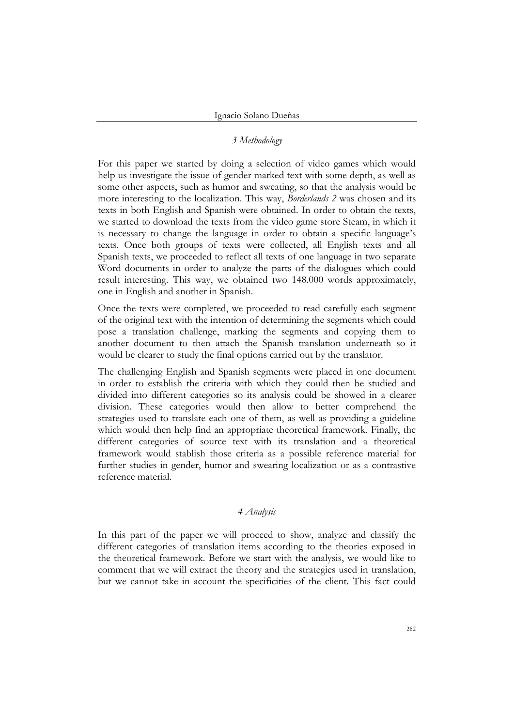## *3 Methodology*

For this paper we started by doing a selection of video games which would help us investigate the issue of gender marked text with some depth, as well as some other aspects, such as humor and sweating, so that the analysis would be more interesting to the localization. This way, *Borderlands 2* was chosen and its texts in both English and Spanish were obtained. In order to obtain the texts, we started to download the texts from the video game store Steam, in which it is necessary to change the language in order to obtain a specific language's texts. Once both groups of texts were collected, all English texts and all Spanish texts, we proceeded to reflect all texts of one language in two separate Word documents in order to analyze the parts of the dialogues which could result interesting. This way, we obtained two 148.000 words approximately, one in English and another in Spanish.

Once the texts were completed, we proceeded to read carefully each segment of the original text with the intention of determining the segments which could pose a translation challenge, marking the segments and copying them to another document to then attach the Spanish translation underneath so it would be clearer to study the final options carried out by the translator.

The challenging English and Spanish segments were placed in one document in order to establish the criteria with which they could then be studied and divided into different categories so its analysis could be showed in a clearer division. These categories would then allow to better comprehend the strategies used to translate each one of them, as well as providing a guideline which would then help find an appropriate theoretical framework. Finally, the different categories of source text with its translation and a theoretical framework would stablish those criteria as a possible reference material for further studies in gender, humor and swearing localization or as a contrastive reference material.

## *4 Analysis*

In this part of the paper we will proceed to show, analyze and classify the different categories of translation items according to the theories exposed in the theoretical framework. Before we start with the analysis, we would like to comment that we will extract the theory and the strategies used in translation, but we cannot take in account the specificities of the client. This fact could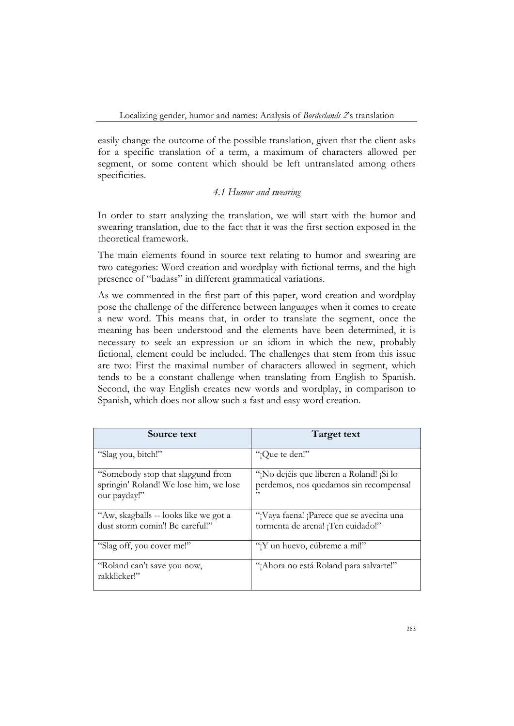easily change the outcome of the possible translation, given that the client asks for a specific translation of a term, a maximum of characters allowed per segment, or some content which should be left untranslated among others specificities.

## *4.1 Humor and swearing*

In order to start analyzing the translation, we will start with the humor and swearing translation, due to the fact that it was the first section exposed in the theoretical framework.

The main elements found in source text relating to humor and swearing are two categories: Word creation and wordplay with fictional terms, and the high presence of "badass" in different grammatical variations.

As we commented in the first part of this paper, word creation and wordplay pose the challenge of the difference between languages when it comes to create a new word. This means that, in order to translate the segment, once the meaning has been understood and the elements have been determined, it is necessary to seek an expression or an idiom in which the new, probably fictional, element could be included. The challenges that stem from this issue are two: First the maximal number of characters allowed in segment, which tends to be a constant challenge when translating from English to Spanish. Second, the way English creates new words and wordplay, in comparison to Spanish, which does not allow such a fast and easy word creation.

| Source text                                                                                 | Target text                                                                               |
|---------------------------------------------------------------------------------------------|-------------------------------------------------------------------------------------------|
| "Slag you, bitch!"                                                                          | "¡Que te den!"                                                                            |
| "Somebody stop that slaggund from<br>springin' Roland! We lose him, we lose<br>our payday!" | "¡No dejéis que liberen a Roland! ¡Si lo<br>perdemos, nos quedamos sin recompensa!<br>, , |
| "Aw, skagballs -- looks like we got a<br>dust storm comin'! Be careful!"                    | "¡Vaya faena! ¡Parece que se avecina una<br>tormenta de arena! ¡Ten cuidado!"             |
| "Slag off, you cover me!"                                                                   | "¡Y un huevo, cúbreme a mí!"                                                              |
| "Roland can't save you now,<br>rakklicker!"                                                 | "¡Ahora no está Roland para salvarte!"                                                    |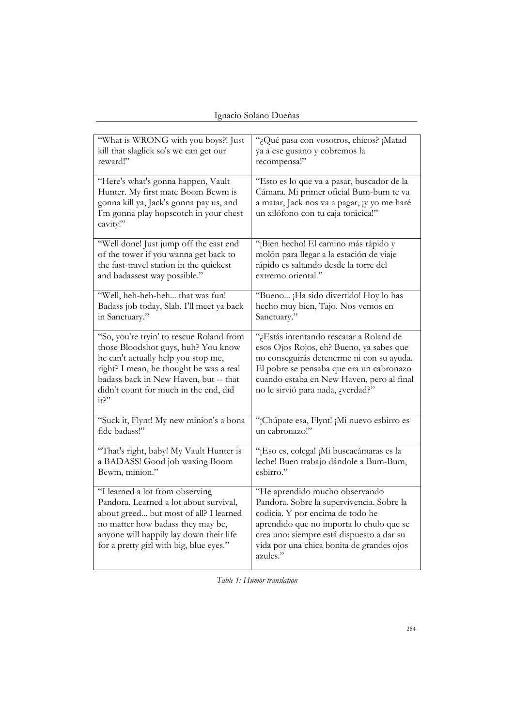Ignacio Solano Dueñas

| "What is WRONG with you boys?! Just                                                                                                                                                                                                                         | "¿Qué pasa con vosotros, chicos? ¡Matad                                                                                                                                                                                                                           |
|-------------------------------------------------------------------------------------------------------------------------------------------------------------------------------------------------------------------------------------------------------------|-------------------------------------------------------------------------------------------------------------------------------------------------------------------------------------------------------------------------------------------------------------------|
| kill that slaglick so's we can get our                                                                                                                                                                                                                      | ya a ese gusano y cobremos la                                                                                                                                                                                                                                     |
| reward!"                                                                                                                                                                                                                                                    | recompensa!"                                                                                                                                                                                                                                                      |
| "Here's what's gonna happen, Vault<br>Hunter. My first mate Boom Bewm is<br>gonna kill ya, Jack's gonna pay us, and<br>I'm gonna play hopscotch in your chest<br>cavity!"                                                                                   | "Esto es lo que va a pasar, buscador de la<br>Cámara. Mi primer oficial Bum-bum te va<br>a matar, Jack nos va a pagar, ¡y yo me haré<br>un xilófono con tu caja torácica!"                                                                                        |
| "Well done! Just jump off the east end                                                                                                                                                                                                                      | "¡Bien hecho! El camino más rápido y                                                                                                                                                                                                                              |
| of the tower if you wanna get back to                                                                                                                                                                                                                       | molón para llegar a la estación de viaje                                                                                                                                                                                                                          |
| the fast-travel station in the quickest                                                                                                                                                                                                                     | rápido es saltando desde la torre del                                                                                                                                                                                                                             |
| and badassest way possible."                                                                                                                                                                                                                                | extremo oriental."                                                                                                                                                                                                                                                |
| "Well, heh-heh-heh  that was fun!                                                                                                                                                                                                                           | "Bueno ¡Ha sido divertido! Hoy lo has                                                                                                                                                                                                                             |
| Badass job today, Slab. I'll meet ya back                                                                                                                                                                                                                   | hecho muy bien, Tajo. Nos vemos en                                                                                                                                                                                                                                |
| in Sanctuary."                                                                                                                                                                                                                                              | Sanctuary."                                                                                                                                                                                                                                                       |
| "So, you're tryin' to rescue Roland from<br>those Bloodshot guys, huh? You know<br>he can't actually help you stop me,<br>right? I mean, he thought he was a real<br>badass back in New Haven, but -- that<br>didn't count for much in the end, did<br>it?" | ''¿Estás intentando rescatar a Roland de<br>esos Ojos Rojos, eh? Bueno, ya sabes que<br>no conseguirás detenerme ni con su ayuda.<br>El pobre se pensaba que era un cabronazo<br>cuando estaba en New Haven, pero al final<br>no le sirvió para nada, ¿verdad?"   |
| "Suck it, Flynt! My new minion's a bona                                                                                                                                                                                                                     | "¡Chúpate esa, Flynt! ¡Mi nuevo esbirro es                                                                                                                                                                                                                        |
| fide badass!"                                                                                                                                                                                                                                               | un cabronazo!"                                                                                                                                                                                                                                                    |
| "That's right, baby! My Vault Hunter is                                                                                                                                                                                                                     | "¡Eso es, colega! ¡Mi buscacámaras es la                                                                                                                                                                                                                          |
| a BADASS! Good job waxing Boom                                                                                                                                                                                                                              | leche! Buen trabajo dándole a Bum-Bum,                                                                                                                                                                                                                            |
| Bewm, minion."                                                                                                                                                                                                                                              | esbirro."                                                                                                                                                                                                                                                         |
| "I learned a lot from observing<br>Pandora. Learned a lot about survival,<br>about greed but most of all? I learned<br>no matter how badass they may be,<br>anyone will happily lay down their life<br>for a pretty girl with big, blue eyes."              | "He aprendido mucho observando<br>Pandora. Sobre la supervivencia. Sobre la<br>codicia. Y por encima de todo he<br>aprendido que no importa lo chulo que se<br>crea uno: siempre está dispuesto a dar su<br>vida por una chica bonita de grandes ojos<br>azules." |

*Table 1: Humor translation*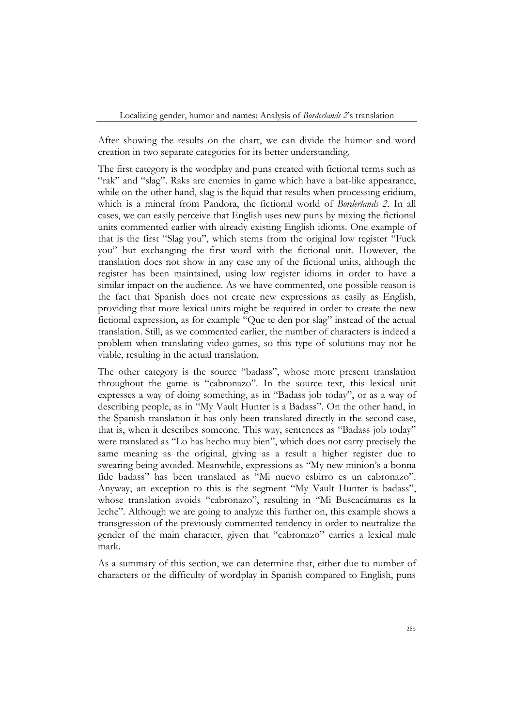After showing the results on the chart, we can divide the humor and word creation in two separate categories for its better understanding.

The first category is the wordplay and puns created with fictional terms such as "rak" and "slag". Raks are enemies in game which have a bat-like appearance, while on the other hand, slag is the liquid that results when processing eridium, which is a mineral from Pandora, the fictional world of *Borderlands 2*. In all cases, we can easily perceive that English uses new puns by mixing the fictional units commented earlier with already existing English idioms. One example of that is the first "Slag you", which stems from the original low register "Fuck you" but exchanging the first word with the fictional unit. However, the translation does not show in any case any of the fictional units, although the register has been maintained, using low register idioms in order to have a similar impact on the audience. As we have commented, one possible reason is the fact that Spanish does not create new expressions as easily as English, providing that more lexical units might be required in order to create the new fictional expression, as for example "Que te den por slag" instead of the actual translation. Still, as we commented earlier, the number of characters is indeed a problem when translating video games, so this type of solutions may not be viable, resulting in the actual translation.

The other category is the source "badass", whose more present translation throughout the game is "cabronazo". In the source text, this lexical unit expresses a way of doing something, as in "Badass job today", or as a way of describing people, as in "My Vault Hunter is a Badass". On the other hand, in the Spanish translation it has only been translated directly in the second case, that is, when it describes someone. This way, sentences as "Badass job today" were translated as "Lo has hecho muy bien", which does not carry precisely the same meaning as the original, giving as a result a higher register due to swearing being avoided. Meanwhile, expressions as "My new minion's a bonna fide badass" has been translated as "Mi nuevo esbirro es un cabronazo". Anyway, an exception to this is the segment "My Vault Hunter is badass", whose translation avoids "cabronazo", resulting in "Mi Buscacámaras es la leche". Although we are going to analyze this further on, this example shows a transgression of the previously commented tendency in order to neutralize the gender of the main character, given that "cabronazo" carries a lexical male mark.

As a summary of this section, we can determine that, either due to number of characters or the difficulty of wordplay in Spanish compared to English, puns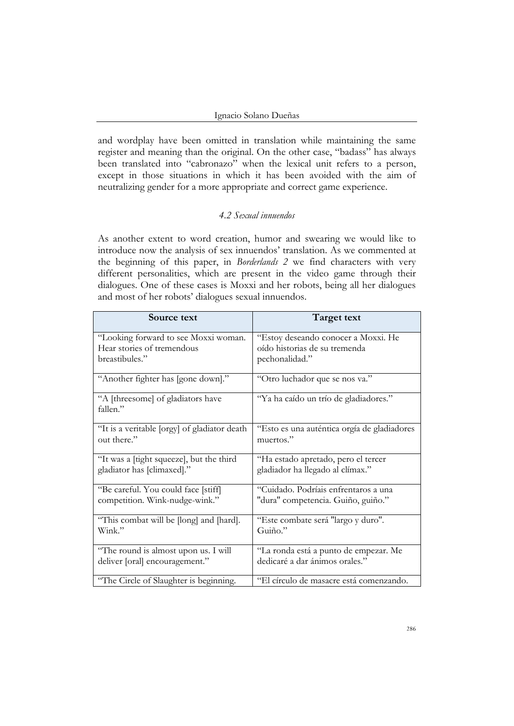and wordplay have been omitted in translation while maintaining the same register and meaning than the original. On the other case, "badass" has always been translated into "cabronazo" when the lexical unit refers to a person, except in those situations in which it has been avoided with the aim of neutralizing gender for a more appropriate and correct game experience.

# *4.2 Sexual innuendos*

As another extent to word creation, humor and swearing we would like to introduce now the analysis of sex innuendos' translation. As we commented at the beginning of this paper, in *Borderlands 2* we find characters with very different personalities, which are present in the video game through their dialogues. One of these cases is Moxxi and her robots, being all her dialogues and most of her robots' dialogues sexual innuendos.

| Source text                                   | Target text                                 |
|-----------------------------------------------|---------------------------------------------|
| "Looking forward to see Moxxi woman.          | "Estoy deseando conocer a Moxxi. He         |
| Hear stories of tremendous                    | oído historias de su tremenda               |
| breastibules."                                | pechonalidad."                              |
| "Another fighter has [gone down]."            | "Otro luchador que se nos va."              |
| "A [threesome] of gladiators have<br>fallen." | "Ya ha caído un trío de gladiadores."       |
| "It is a veritable [orgy] of gladiator death  | "Esto es una auténtica orgía de gladiadores |
| out there."                                   | muertos."                                   |
| "It was a [tight squeeze], but the third      | "Ha estado apretado, pero el tercer         |
| gladiator has [climaxed]."                    | gladiador ha llegado al clímax."            |
| "Be careful. You could face [stiff]           | "Cuidado. Podríais enfrentaros a una        |
| competition. Wink-nudge-wink."                | "dura" competencia. Guiño, guiño."          |
| "This combat will be [long] and [hard].       | "Este combate será "largo y duro".          |
| Wink."                                        | Guiño."                                     |
| "The round is almost upon us. I will          | "La ronda está a punto de empezar. Me       |
| deliver [oral] encouragement."                | dedicaré a dar ánimos orales."              |
| "The Circle of Slaughter is beginning.        | "El círculo de masacre está comenzando.     |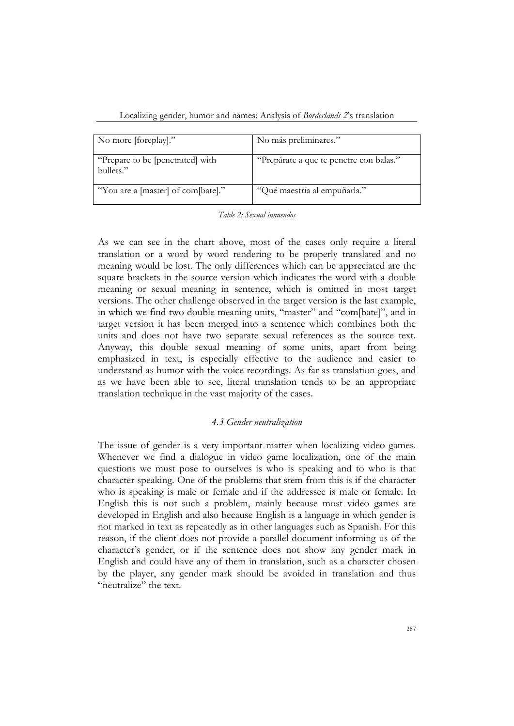| Localizing gender, humor and names: Analysis of Borderlands 2's translation |
|-----------------------------------------------------------------------------|
|-----------------------------------------------------------------------------|

| No more [foreplay]."                          | No más preliminares."                   |
|-----------------------------------------------|-----------------------------------------|
| "Prepare to be [penetrated] with<br>bullets." | "Prepárate a que te penetre con balas." |
| "You are a [master] of com[bate]."            | "Qué maestría al empuñarla."            |

|  |  |  | Table 2: Sexual innuendos |
|--|--|--|---------------------------|
|--|--|--|---------------------------|

As we can see in the chart above, most of the cases only require a literal translation or a word by word rendering to be properly translated and no meaning would be lost. The only differences which can be appreciated are the square brackets in the source version which indicates the word with a double meaning or sexual meaning in sentence, which is omitted in most target versions. The other challenge observed in the target version is the last example, in which we find two double meaning units, "master" and "com[bate]", and in target version it has been merged into a sentence which combines both the units and does not have two separate sexual references as the source text. Anyway, this double sexual meaning of some units, apart from being emphasized in text, is especially effective to the audience and easier to understand as humor with the voice recordings. As far as translation goes, and as we have been able to see, literal translation tends to be an appropriate translation technique in the vast majority of the cases.

## *4.3 Gender neutralization*

The issue of gender is a very important matter when localizing video games. Whenever we find a dialogue in video game localization, one of the main questions we must pose to ourselves is who is speaking and to who is that character speaking. One of the problems that stem from this is if the character who is speaking is male or female and if the addressee is male or female. In English this is not such a problem, mainly because most video games are developed in English and also because English is a language in which gender is not marked in text as repeatedly as in other languages such as Spanish. For this reason, if the client does not provide a parallel document informing us of the character's gender, or if the sentence does not show any gender mark in English and could have any of them in translation, such as a character chosen by the player, any gender mark should be avoided in translation and thus "neutralize" the text.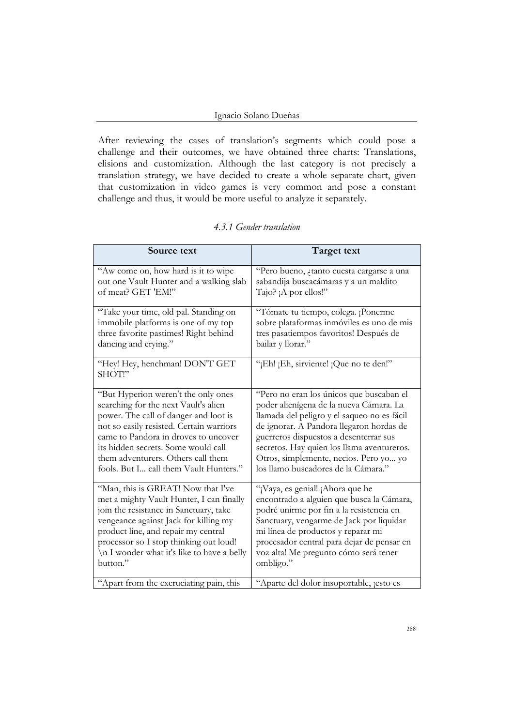#### Ignacio Solano Dueñas

After reviewing the cases of translation's segments which could pose a challenge and their outcomes, we have obtained three charts: Translations, elisions and customization. Although the last category is not precisely a translation strategy, we have decided to create a whole separate chart, given that customization in video games is very common and pose a constant challenge and thus, it would be more useful to analyze it separately.

| Source text                                | Target text                                 |
|--------------------------------------------|---------------------------------------------|
| "Aw come on, how hard is it to wipe        | "Pero bueno, ¿tanto cuesta cargarse a una   |
| out one Vault Hunter and a walking slab    | sabandija buscacámaras y a un maldito       |
| of meat? GET 'EM!"                         | Tajo? ¡A por ellos!"                        |
| "Take your time, old pal. Standing on      | "Tómate tu tiempo, colega. ¡Ponerme         |
| immobile platforms is one of my top        | sobre plataformas inmóviles es uno de mis   |
| three favorite pastimes! Right behind      | tres pasatiempos favoritos! Después de      |
| dancing and crying."                       | bailar y llorar."                           |
| "Hey! Hey, henchman! DON'T GET<br>SHOT!"   | "¡Eh! ¡Eh, sirviente! ¡Que no te den!"      |
| "But Hyperion weren't the only ones        | "Pero no eran los únicos que buscaban el    |
| searching for the next Vault's alien       | poder alienígena de la nueva Cámara. La     |
| power. The call of danger and loot is      | llamada del peligro y el saqueo no es fácil |
| not so easily resisted. Certain warriors   | de ignorar. A Pandora llegaron hordas de    |
| came to Pandora in droves to uncover       | guerreros dispuestos a desenterrar sus      |
| its hidden secrets. Some would call        | secretos. Hay quien los llama aventureros.  |
| them adventurers. Others call them         | Otros, simplemente, necios. Pero yo yo      |
| fools. But I call them Vault Hunters."     | los llamo buscadores de la Cámara."         |
| "Man, this is GREAT! Now that I've         | "¡Vaya, es genial! ¡Ahora que he            |
| met a mighty Vault Hunter, I can finally   | encontrado a alguien que busca la Cámara,   |
| join the resistance in Sanctuary, take     | podré unirme por fin a la resistencia en    |
| vengeance against Jack for killing my      | Sanctuary, vengarme de Jack por liquidar    |
| product line, and repair my central        | mi línea de productos y reparar mi          |
| processor so I stop thinking out loud!     | procesador central para dejar de pensar en  |
| \n I wonder what it's like to have a belly | voz alta! Me pregunto cómo será tener       |
| button."                                   | ombligo."                                   |
| "Apart from the excruciating pain, this    | "Aparte del dolor insoportable, jesto es    |

# *4.3.1 Gender translation*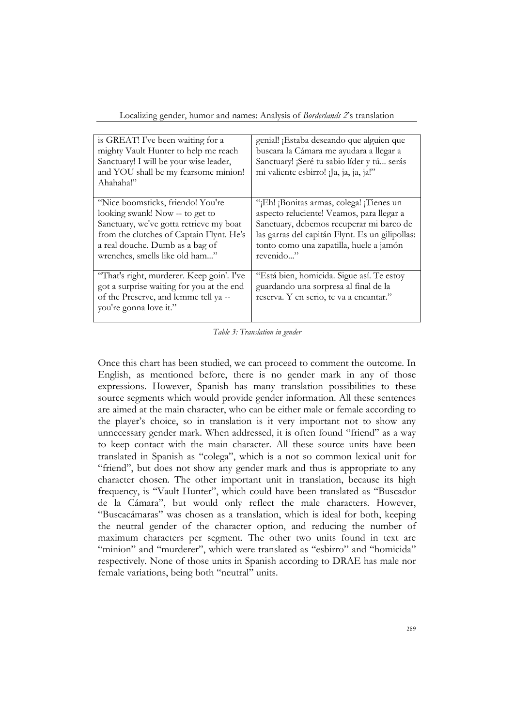| is GREAT! I've been waiting for a<br>mighty Vault Hunter to help me reach<br>Sanctuary! I will be your wise leader,<br>and YOU shall be my fearsome minion!<br>Ahahaha!"                                                         | genial! ¡Estaba deseando que alguien que<br>buscara la Cámara me ayudara a llegar a<br>Sanctuary! ¡Seré tu sabio líder y tú serás<br>mi valiente esbirro! ¡Ja, ja, ja, ja!"                                                                  |
|----------------------------------------------------------------------------------------------------------------------------------------------------------------------------------------------------------------------------------|----------------------------------------------------------------------------------------------------------------------------------------------------------------------------------------------------------------------------------------------|
| "Nice boomsticks, friendo! You're<br>looking swank! Now -- to get to<br>Sanctuary, we've gotta retrieve my boat<br>from the clutches of Captain Flynt. He's<br>a real douche. Dumb as a bag of<br>wrenches, smells like old ham" | "¡Eh! ¡Bonitas armas, colega! ¡Tienes un<br>aspecto reluciente! Veamos, para llegar a<br>Sanctuary, debemos recuperar mi barco de<br>las garras del capitán Flynt. Es un gilipollas:<br>tonto como una zapatilla, huele a jamón<br>revenido" |
| "That's right, murderer. Keep goin'. I've<br>got a surprise waiting for you at the end<br>of the Preserve, and lemme tell ya --<br>you're gonna love it."                                                                        | "Está bien, homicida. Sigue así. Te estoy<br>guardando una sorpresa al final de la<br>reserva. Y en serio, te va a encantar."                                                                                                                |

Localizing gender, humor and names: Analysis of *Borderlands 2*'s translation

*Table 3: Translation in gender*

Once this chart has been studied, we can proceed to comment the outcome. In English, as mentioned before, there is no gender mark in any of those expressions. However, Spanish has many translation possibilities to these source segments which would provide gender information. All these sentences are aimed at the main character, who can be either male or female according to the player's choice, so in translation is it very important not to show any unnecessary gender mark. When addressed, it is often found "friend" as a way to keep contact with the main character. All these source units have been translated in Spanish as "colega", which is a not so common lexical unit for "friend", but does not show any gender mark and thus is appropriate to any character chosen. The other important unit in translation, because its high frequency, is "Vault Hunter", which could have been translated as "Buscador de la Cámara", but would only reflect the male characters. However, "Buscacámaras" was chosen as a translation, which is ideal for both, keeping the neutral gender of the character option, and reducing the number of maximum characters per segment. The other two units found in text are "minion" and "murderer", which were translated as "esbirro" and "homicida" respectively. None of those units in Spanish according to DRAE has male nor female variations, being both "neutral" units.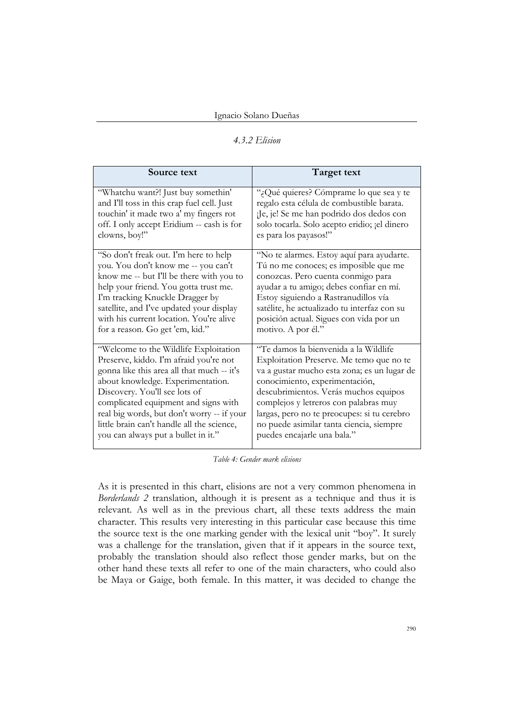#### *4.3.2 Elision*

| Source text                                | <b>Target text</b>                           |
|--------------------------------------------|----------------------------------------------|
| "Whatchu want?! Just buy somethin"         | "¿Qué quieres? Cómprame lo que sea y te      |
| and I'll toss in this crap fuel cell. Just | regalo esta célula de combustible barata.    |
| touchin' it made two a' my fingers rot     | ¡Je, je! Se me han podrido dos dedos con     |
| off. I only accept Eridium -- cash is for  | solo tocarla. Solo acepto eridio; ¡el dinero |
| clowns, boy!"                              | es para los payasos!"                        |
| "So don't freak out. I'm here to help      | "No te alarmes. Estoy aquí para ayudarte.    |
| you. You don't know me -- you can't        | Tú no me conoces; es imposible que me        |
| know me -- but I'll be there with you to   | conozcas. Pero cuenta conmigo para           |
| help your friend. You gotta trust me.      | ayudar a tu amigo; debes confiar en mí.      |
| I'm tracking Knuckle Dragger by            | Estoy siguiendo a Rastranudillos vía         |
| satellite, and I've updated your display   | satélite, he actualizado tu interfaz con su  |
| with his current location. You're alive    | posición actual. Sigues con vida por un      |
| for a reason. Go get 'em, kid."            | motivo. A por él."                           |
| "Welcome to the Wildlife Exploitation      | "Te damos la bienvenida a la Wildlife        |
| Preserve, kiddo. I'm afraid you're not     | Exploitation Preserve. Me temo que no te     |
| gonna like this area all that much -- it's | va a gustar mucho esta zona; es un lugar de  |
| about knowledge. Experimentation.          | conocimiento, experimentación,               |
| Discovery. You'll see lots of              | descubrimientos. Verás muchos equipos        |
| complicated equipment and signs with       | complejos y letreros con palabras muy        |
| real big words, but don't worry -- if your | largas, pero no te preocupes: si tu cerebro  |
| little brain can't handle all the science, | no puede asimilar tanta ciencia, siempre     |
| you can always put a bullet in it."        | puedes encajarle una bala."                  |

*Table 4: Gender mark elisions*

As it is presented in this chart, elisions are not a very common phenomena in *Borderlands 2* translation, although it is present as a technique and thus it is relevant. As well as in the previous chart, all these texts address the main character. This results very interesting in this particular case because this time the source text is the one marking gender with the lexical unit "boy". It surely was a challenge for the translation, given that if it appears in the source text, probably the translation should also reflect those gender marks, but on the other hand these texts all refer to one of the main characters, who could also be Maya or Gaige, both female. In this matter, it was decided to change the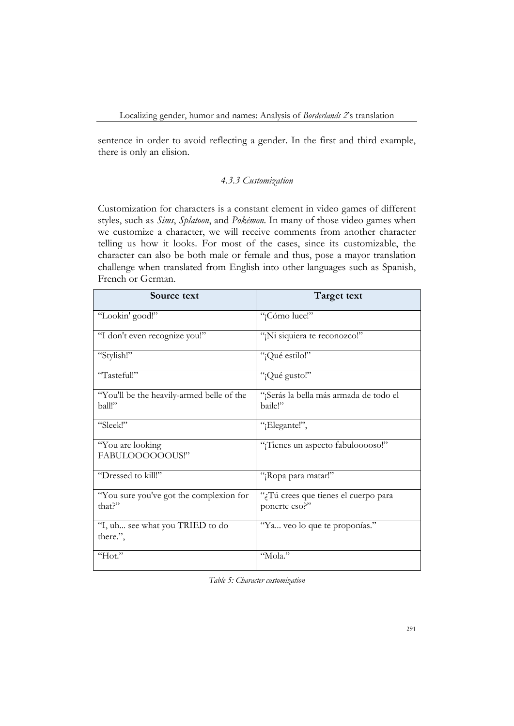sentence in order to avoid reflecting a gender. In the first and third example, there is only an elision.

# *4.3.3 Customization*

Customization for characters is a constant element in video games of different styles, such as *Sims*, *Splatoon*, and *Pokémon*. In many of those video games when we customize a character, we will receive comments from another character telling us how it looks. For most of the cases, since its customizable, the character can also be both male or female and thus, pose a mayor translation challenge when translated from English into other languages such as Spanish, French or German.

| Source text                                         | Target text                                         |
|-----------------------------------------------------|-----------------------------------------------------|
| "Lookin' good!"                                     | "¡Cómo luce!"                                       |
| "I don't even recognize you!"                       | "¡Ni siquiera te reconozco!"                        |
| "Stylish!"                                          | "¡Qué estilo!"                                      |
| "Tasteful!"                                         | "¡Qué gusto!"                                       |
| "You'll be the heavily-armed belle of the<br>ball!" | "¡Serás la bella más armada de todo el<br>baile!"   |
| "Sleek!"                                            | "¡Elegante!",                                       |
| "You are looking<br>FABULOOOOOOUS!"                 | "¡Tienes un aspecto fabulooooso!"                   |
| "Dressed to kill!"                                  | "¡Ropa para matar!"                                 |
| "You sure you've got the complexion for<br>that?"   | Tú crees que tienes el cuerpo para<br>ponerte eso?" |
| "I, uh see what you TRIED to do<br>there.",         | "Ya veo lo que te proponías."                       |
| "Hot."                                              | "Mola."                                             |

*Table 5: Character customization*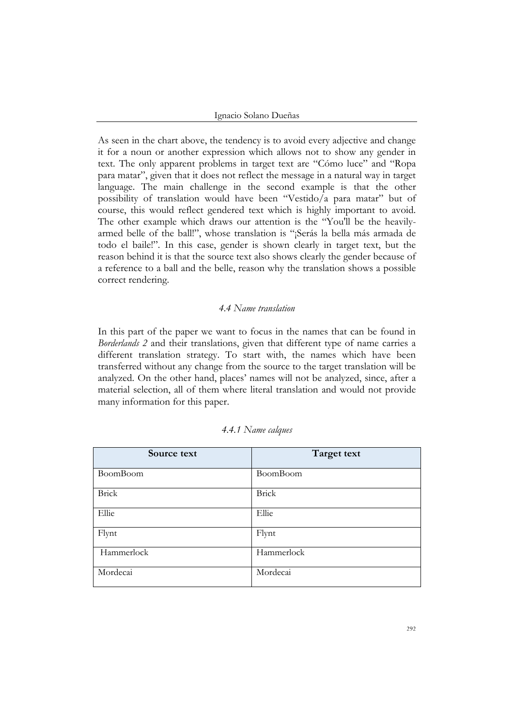Ignacio Solano Dueñas

As seen in the chart above, the tendency is to avoid every adjective and change it for a noun or another expression which allows not to show any gender in text. The only apparent problems in target text are "Cómo luce" and "Ropa para matar", given that it does not reflect the message in a natural way in target language. The main challenge in the second example is that the other possibility of translation would have been "Vestido/a para matar" but of course, this would reflect gendered text which is highly important to avoid. The other example which draws our attention is the "You'll be the heavilyarmed belle of the ball!", whose translation is "¡Serás la bella más armada de todo el baile!". In this case, gender is shown clearly in target text, but the reason behind it is that the source text also shows clearly the gender because of a reference to a ball and the belle, reason why the translation shows a possible correct rendering.

## *4.4 Name translation*

In this part of the paper we want to focus in the names that can be found in *Borderlands 2* and their translations, given that different type of name carries a different translation strategy. To start with, the names which have been transferred without any change from the source to the target translation will be analyzed. On the other hand, places' names will not be analyzed, since, after a material selection, all of them where literal translation and would not provide many information for this paper.

| Source text  | Target text  |
|--------------|--------------|
| BoomBoom     | BoomBoom     |
| <b>Brick</b> | <b>Brick</b> |
| Ellie        | Ellie        |
| Flynt        | Flynt        |
| Hammerlock   | Hammerlock   |
| Mordecai     | Mordecai     |

#### *4.4.1 Name calques*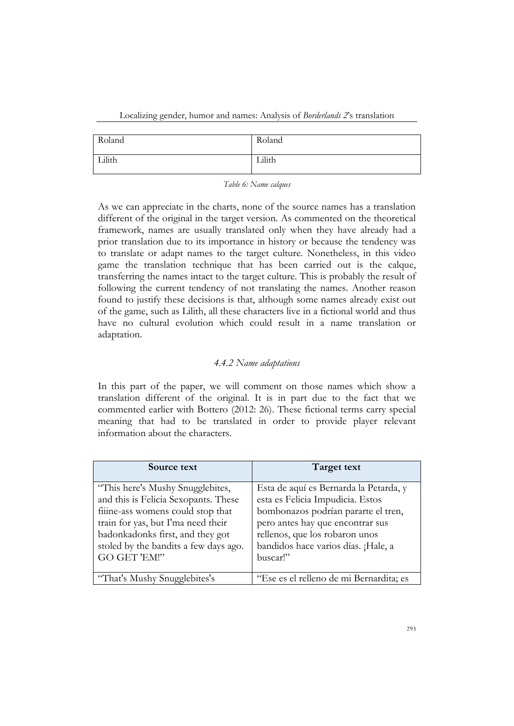Localizing gender, humor and names: Analysis of *Borderlands 2*'s translation

| Roland | Roland |
|--------|--------|
| Lilith | Lilith |

*Table 6: Name calques*

As we can appreciate in the charts, none of the source names has a translation different of the original in the target version. As commented on the theoretical framework, names are usually translated only when they have already had a prior translation due to its importance in history or because the tendency was to translate or adapt names to the target culture. Nonetheless, in this video game the translation technique that has been carried out is the calque, transferring the names intact to the target culture. This is probably the result of following the current tendency of not translating the names. Another reason found to justify these decisions is that, although some names already exist out of the game, such as Lilith, all these characters live in a fictional world and thus have no cultural evolution which could result in a name translation or adaptation.

## *4.4.2 Name adaptations*

In this part of the paper, we will comment on those names which show a translation different of the original. It is in part due to the fact that we commented earlier with Bottero (2012: 26). These fictional terms carry special meaning that had to be translated in order to provide player relevant information about the characters.

| Source text                                                                                                                                                                                                                                     | Target text                                                                                                                                                                                                                                |
|-------------------------------------------------------------------------------------------------------------------------------------------------------------------------------------------------------------------------------------------------|--------------------------------------------------------------------------------------------------------------------------------------------------------------------------------------------------------------------------------------------|
| "This here's Mushy Snugglebites,<br>and this is Felicia Sexopants. These<br>filme-ass womens could stop that<br>train for yas, but I'ma need their<br>badonkadonks first, and they got<br>stoled by the bandits a few days ago.<br>GO GET 'EM!" | Esta de aquí es Bernarda la Petarda, y<br>esta es Felicia Impudicia. Estos<br>bombonazos podrían pararte el tren,<br>pero antes hay que encontrar sus<br>rellenos, que los robaron unos<br>bandidos hace varios días. ¡Hale, a<br>buscar!" |
| "That's Mushy Snugglebites's                                                                                                                                                                                                                    | "Ese es el relleno de mi Bernardita; es                                                                                                                                                                                                    |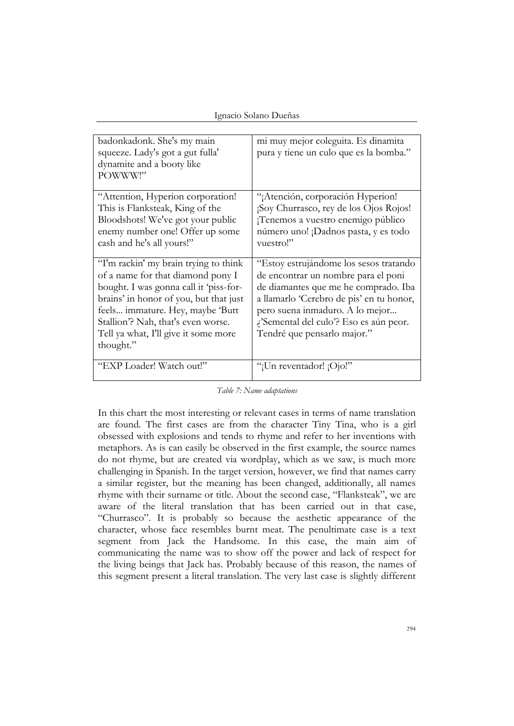|  |  | Ignacio Solano Dueñas |
|--|--|-----------------------|
|--|--|-----------------------|

| badonkadonk. She's my main<br>squeeze. Lady's got a gut fulla'<br>dynamite and a booty like<br>POWWW!"                                                                                                                                                                                        | mi muy mejor coleguita. Es dinamita<br>pura y tiene un culo que es la bomba."                                                                                                                                                                                                 |
|-----------------------------------------------------------------------------------------------------------------------------------------------------------------------------------------------------------------------------------------------------------------------------------------------|-------------------------------------------------------------------------------------------------------------------------------------------------------------------------------------------------------------------------------------------------------------------------------|
| "Attention, Hyperion corporation!<br>This is Flanksteak, King of the<br>Bloodshots! We've got your public<br>enemy number one! Offer up some<br>cash and he's all yours!"                                                                                                                     | "¡Atención, corporación Hyperion!<br>¡Soy Churrasco, rey de los Ojos Rojos!<br>¡Tenemos a vuestro enemigo público<br>número uno! ¡Dadnos pasta, y es todo<br>vuestro!"                                                                                                        |
| "I'm rackin' my brain trying to think<br>of a name for that diamond pony I<br>bought. I was gonna call it 'piss-for-<br>brains' in honor of you, but that just<br>feels immature. Hey, maybe 'Butt<br>Stallion'? Nah, that's even worse.<br>Tell ya what, I'll give it some more<br>thought." | "Estoy estrujándome los sesos tratando<br>de encontrar un nombre para el poni<br>de diamantes que me he comprado. Iba<br>a llamarlo 'Cerebro de pis' en tu honor,<br>pero suena inmaduro. A lo mejor<br>¿'Semental del culo'? Eso es aún peor.<br>Tendré que pensarlo major." |
| "EXP Loader! Watch out!"                                                                                                                                                                                                                                                                      | "¡Un reventador! ¡Ojo!"                                                                                                                                                                                                                                                       |

*Table 7: Name adaptations*

In this chart the most interesting or relevant cases in terms of name translation are found. The first cases are from the character Tiny Tina, who is a girl obsessed with explosions and tends to rhyme and refer to her inventions with metaphors. As is can easily be observed in the first example, the source names do not rhyme, but are created via wordplay, which as we saw, is much more challenging in Spanish. In the target version, however, we find that names carry a similar register, but the meaning has been changed, additionally, all names rhyme with their surname or title. About the second case, "Flanksteak", we are aware of the literal translation that has been carried out in that case, "Churrasco". It is probably so because the aesthetic appearance of the character, whose face resembles burnt meat. The penultimate case is a text segment from Jack the Handsome. In this case, the main aim of communicating the name was to show off the power and lack of respect for the living beings that Jack has. Probably because of this reason, the names of this segment present a literal translation. The very last case is slightly different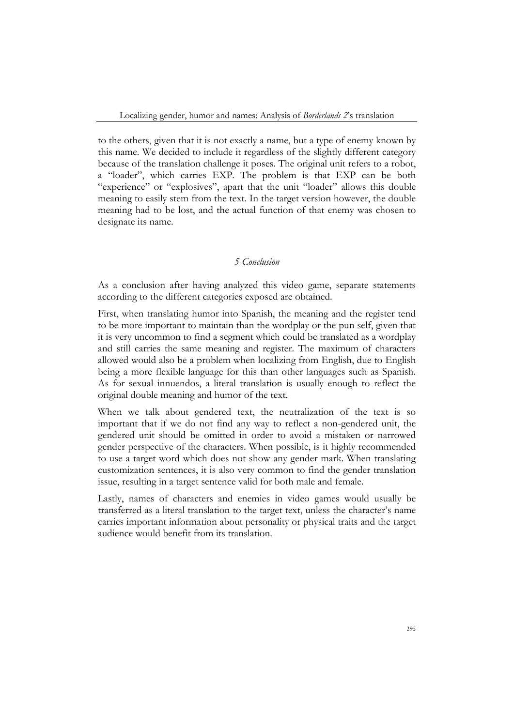to the others, given that it is not exactly a name, but a type of enemy known by this name. We decided to include it regardless of the slightly different category because of the translation challenge it poses. The original unit refers to a robot, a "loader", which carries EXP. The problem is that EXP can be both "experience" or "explosives", apart that the unit "loader" allows this double meaning to easily stem from the text. In the target version however, the double meaning had to be lost, and the actual function of that enemy was chosen to designate its name.

## *5 Conclusion*

As a conclusion after having analyzed this video game, separate statements according to the different categories exposed are obtained.

First, when translating humor into Spanish, the meaning and the register tend to be more important to maintain than the wordplay or the pun self, given that it is very uncommon to find a segment which could be translated as a wordplay and still carries the same meaning and register. The maximum of characters allowed would also be a problem when localizing from English, due to English being a more flexible language for this than other languages such as Spanish. As for sexual innuendos, a literal translation is usually enough to reflect the original double meaning and humor of the text.

When we talk about gendered text, the neutralization of the text is so important that if we do not find any way to reflect a non-gendered unit, the gendered unit should be omitted in order to avoid a mistaken or narrowed gender perspective of the characters. When possible, is it highly recommended to use a target word which does not show any gender mark. When translating customization sentences, it is also very common to find the gender translation issue, resulting in a target sentence valid for both male and female.

Lastly, names of characters and enemies in video games would usually be transferred as a literal translation to the target text, unless the character's name carries important information about personality or physical traits and the target audience would benefit from its translation.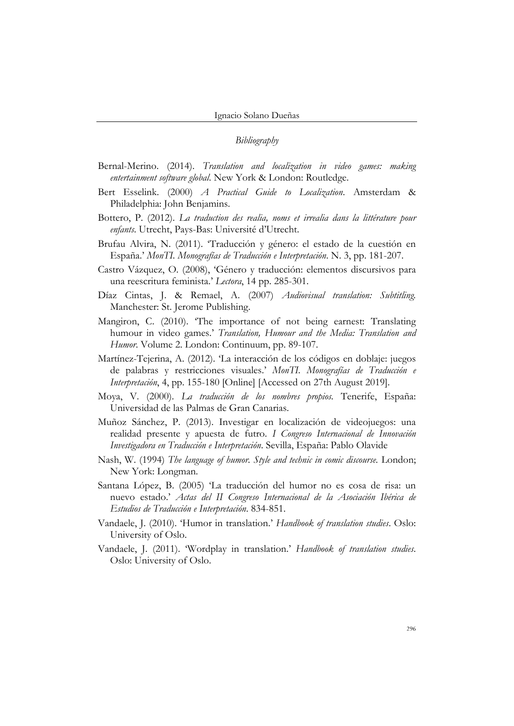# *Bibliography*

- Bernal-Merino. (2014). *Translation and localization in video games: making entertainment software global*. New York & London: Routledge.
- Bert Esselink. (2000) *A Practical Guide to Localization*. Amsterdam & Philadelphia: John Benjamins.
- Bottero, P. (2012). *La traduction des realia, noms et irrealia dans la littérature pour enfants*. Utrecht, Pays-Bas: Université d'Utrecht.
- Brufau Alvira, N. (2011). 'Traducción y género: el estado de la cuestión en España.' *MonTI. Monografías de Traducción e Interpretación*. N. 3, pp. 181-207.
- Castro Vázquez, O. (2008), 'Género y traducción: elementos discursivos para una reescritura feminista.' *Lectora*, 14 pp. 285-301.
- Díaz Cintas, J. & Remael, A. (2007) *Audiovisual translation: Subtitling.*  Manchester: St. Jerome Publishing.
- Mangiron, C. (2010). 'The importance of not being earnest: Translating humour in video games.' *Translation, Humour and the Media: Translation and Humor*. Volume 2. London: Continuum, pp. 89-107.
- Martínez-Tejerina, A. (2012). 'La interacción de los códigos en doblaje: juegos de palabras y restricciones visuales.' *MonTI. Monografías de Traducción e Interpretación*, 4, pp. 155-180 [Online] [Accessed on 27th August 2019].
- Moya, V. (2000). *La traducción de los nombres propios.* Tenerife, España: Universidad de las Palmas de Gran Canarias.
- Muñoz Sánchez, P. (2013). Investigar en localización de videojuegos: una realidad presente y apuesta de futro. *I Congreso Internacional de Innovación Investigadora en Traducción e Interpretación*. Sevilla, España: Pablo Olavide
- Nash, W. (1994) *The language of humor. Style and technic in comic discourse.* London; New York: Longman.
- Santana López, B. (2005) 'La traducción del humor no es cosa de risa: un nuevo estado.' *Actas del II Congreso Internacional de la Asociación Ibérica de Estudios de Traducción e Interpretación*. 834-851.
- Vandaele, J. (2010). 'Humor in translation.' *Handbook of translation studies*. Oslo: University of Oslo.
- Vandaele, J. (2011). 'Wordplay in translation.' *Handbook of translation studies*. Oslo: University of Oslo.